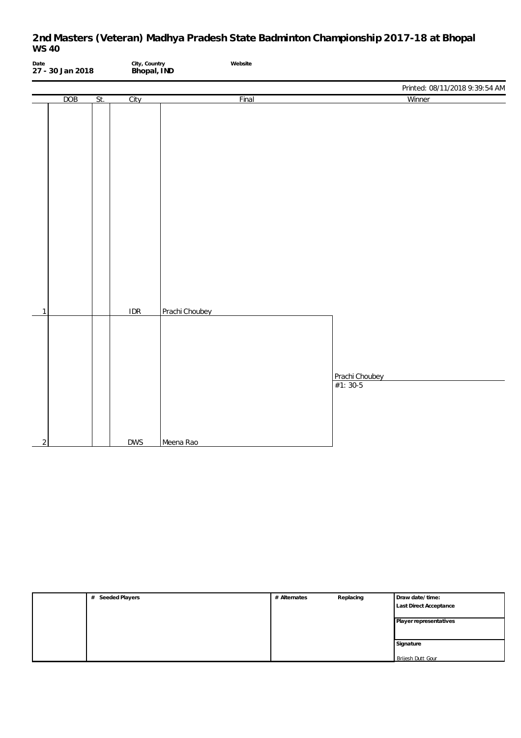| Date           | 27 - 30 Jan 2018 |     | City, Country<br>Bhopal, IND | Website        |                                |  |
|----------------|------------------|-----|------------------------------|----------------|--------------------------------|--|
|                |                  |     |                              |                | Printed: 08/11/2018 9:39:54 AM |  |
|                | DOB              | St. | City                         | Final          | Winner                         |  |
| $\mathbf{1}$   |                  |     | IDR                          | Prachi Choubey |                                |  |
| $\overline{2}$ |                  |     | <b>DWS</b>                   | Meena Rao      | Prachi Choubey<br>$#1: 30-5$   |  |

| Seeded Players<br># | # Alternates | Replacing | Draw date/time:               |
|---------------------|--------------|-----------|-------------------------------|
|                     |              |           | <b>Last Direct Acceptance</b> |
|                     |              |           |                               |
|                     |              |           | Player representatives        |
|                     |              |           |                               |
|                     |              |           | Signature                     |
|                     |              |           |                               |
|                     |              |           | Brijesh Dutt Gour             |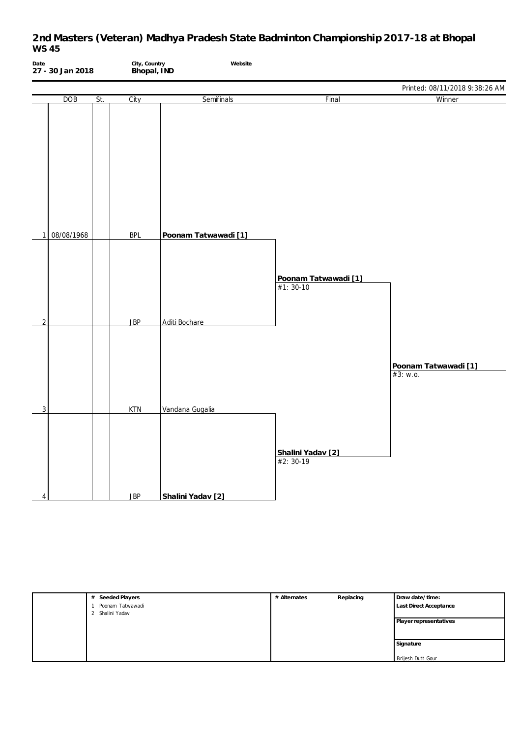| Date           | 27 - 30 Jan 2018 |     | City, Country<br>Bhopal, IND | Website              |                                     |                                  |
|----------------|------------------|-----|------------------------------|----------------------|-------------------------------------|----------------------------------|
|                |                  |     |                              |                      |                                     | Printed: 08/11/2018 9:38:26 AM   |
|                | <b>DOB</b>       | St. | City                         | Semifinals           | Final                               | Winner                           |
| 1              | 08/08/1968       |     | <b>BPL</b>                   | Poonam Tatwawadi [1] | Poonam Tatwawadi [1]<br>$#1: 30-10$ |                                  |
|                |                  |     |                              |                      |                                     |                                  |
| $\overline{2}$ |                  |     | <b>JBP</b>                   | Aditi Bochare        |                                     |                                  |
| $\overline{3}$ |                  |     | <b>KTN</b>                   | Vandana Gugalia      | Shalini Yadav [2]<br>#2: 30-19      | Poonam Tatwawadi [1]<br>#3: W.0. |
| $\overline{4}$ |                  |     | <b>JBP</b>                   | Shalini Yadav [2]    |                                     |                                  |

| Seeded Players<br>#     | # Alternates | Replacing | Draw date/time:          |
|-------------------------|--------------|-----------|--------------------------|
| Poonam Tatwawadi        |              |           | Last Direct Acceptance   |
| Shalini Yadav<br>∍<br>∠ |              |           |                          |
|                         |              |           | Player representatives   |
|                         |              |           |                          |
|                         |              |           |                          |
|                         |              |           | Signature                |
|                         |              |           |                          |
|                         |              |           | <b>Brijesh Dutt Gour</b> |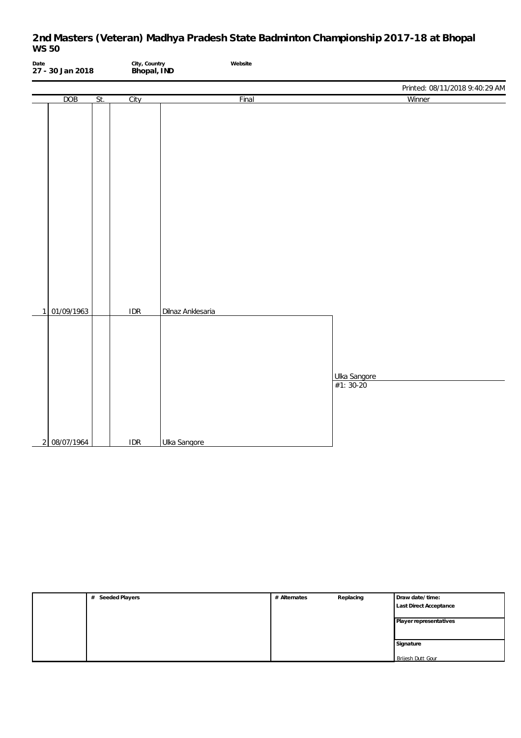| Date | 27 - 30 Jan 2018 |     | City, Country<br>Bhopal, IND | Website           |                                |
|------|------------------|-----|------------------------------|-------------------|--------------------------------|
|      |                  |     |                              |                   | Printed: 08/11/2018 9:40:29 AM |
|      | DOB              | St. | City                         | Final             | Winner                         |
|      |                  |     |                              |                   |                                |
|      |                  |     |                              |                   |                                |
|      |                  |     |                              |                   |                                |
|      |                  |     |                              |                   |                                |
|      |                  |     |                              |                   |                                |
|      |                  |     |                              |                   |                                |
|      |                  |     |                              |                   |                                |
|      |                  |     |                              |                   |                                |
|      |                  |     |                              |                   |                                |
|      |                  |     |                              |                   |                                |
|      |                  |     |                              |                   |                                |
|      |                  |     |                              |                   |                                |
|      |                  |     |                              |                   |                                |
|      |                  |     |                              |                   |                                |
|      |                  |     |                              |                   |                                |
| 1    | 01/09/1963       |     | IDR                          | Dilnaz Anklesaria |                                |
|      |                  |     |                              |                   |                                |
|      |                  |     |                              |                   |                                |
|      |                  |     |                              |                   |                                |
|      |                  |     |                              |                   |                                |
|      |                  |     |                              |                   | Ulka Sangore                   |
|      |                  |     |                              |                   |                                |
|      |                  |     |                              |                   |                                |
|      |                  |     |                              |                   |                                |
|      |                  |     |                              |                   |                                |
|      | 2 08/07/1964     |     | <b>IDR</b>                   | Ulka Sangore      |                                |

| Seeded Players<br># | # Alternates | Replacing | Draw date/time:          |
|---------------------|--------------|-----------|--------------------------|
|                     |              |           | Last Direct Acceptance   |
|                     |              |           |                          |
|                     |              |           | Player representatives   |
|                     |              |           |                          |
|                     |              |           |                          |
|                     |              |           | Signature                |
|                     |              |           |                          |
|                     |              |           | <b>Brijesh Dutt Gour</b> |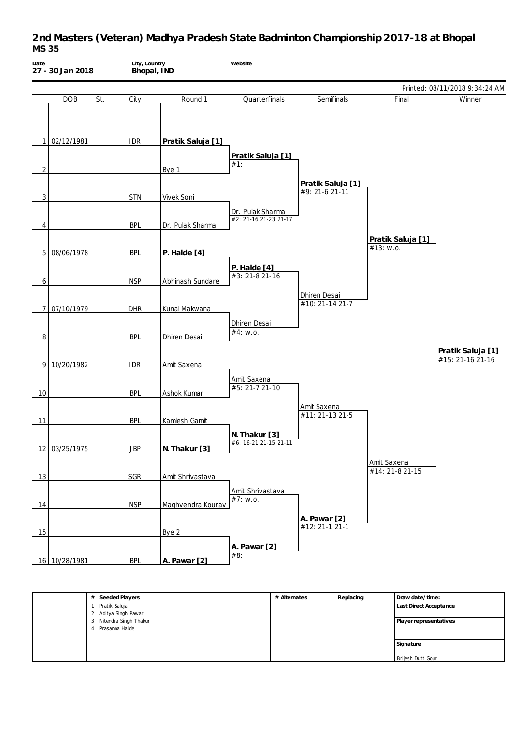| Date           | 27 - 30 Jan 2018 |     | City, Country<br>Bhopal, IND |                   | Website                                   |                                      |                                |                                       |
|----------------|------------------|-----|------------------------------|-------------------|-------------------------------------------|--------------------------------------|--------------------------------|---------------------------------------|
|                |                  |     |                              |                   |                                           |                                      |                                | Printed: 08/11/2018 9:34:24 AM        |
|                | DOB              | St. | City                         | Round 1           | Quarterfinals                             | Semifinals                           | Final                          | Winner                                |
|                | 1 02/12/1981     |     | <b>IDR</b>                   | Pratik Saluja [1] | Pratik Saluja [1]                         |                                      |                                |                                       |
| $\overline{2}$ |                  |     |                              | Bye 1             | $#1$ :                                    |                                      |                                |                                       |
| 3              |                  |     | <b>STN</b>                   | Vivek Soni        |                                           | Pratik Saluja [1]<br>$#9: 21-621-11$ |                                |                                       |
|                |                  |     |                              |                   | Dr. Pulak Sharma<br>#2: 21-16 21-23 21-17 |                                      |                                |                                       |
| 4              |                  |     | <b>BPL</b>                   | Dr. Pulak Sharma  |                                           |                                      |                                |                                       |
|                | 5 08/06/1978     |     | <b>BPL</b>                   | P. Halde [4]      |                                           |                                      | Pratik Saluja [1]<br>#13: w.o. |                                       |
| 6              |                  |     | <b>NSP</b>                   | Abhinash Sundare  | P. Halde [4]<br>#3: 21-8 21-16            |                                      |                                |                                       |
|                | 7 07/10/1979     |     | <b>DHR</b>                   | Kunal Makwana     |                                           | Dhiren Desai<br>#10: 21-14 21-7      |                                |                                       |
| 8              |                  |     | <b>BPL</b>                   | Dhiren Desai      | Dhiren Desai<br>#4: w.o.                  |                                      |                                |                                       |
|                | 9 10/20/1982     |     | <b>IDR</b>                   | Amit Saxena       |                                           |                                      |                                | Pratik Saluja [1]<br>#15: 21-16 21-16 |
| 10             |                  |     | <b>BPL</b>                   | Ashok Kumar       | Amit Saxena<br>#5: 21-7 21-10             |                                      |                                |                                       |
| 11             |                  |     | <b>BPL</b>                   | Kamlesh Gamit     |                                           | Amit Saxena<br>#11: 21-13 21-5       |                                |                                       |
|                | 12 03/25/1975    |     | <b>JBP</b>                   | N. Thakur [3]     | N. Thakur [3]<br>#6: 16-21 21-15 21-11    |                                      |                                |                                       |
| 13             |                  |     | SGR                          | Amit Shrivastava  |                                           |                                      | Amit Saxena<br>#14: 21-8 21-15 |                                       |
| 14             |                  |     | <b>NSP</b>                   | Maghvendra Kourav | Amit Shrivastava<br>#7: w.o.              |                                      |                                |                                       |
| 15             |                  |     |                              | Bye 2             |                                           | A. Pawar [2]<br>#12: 21-1 21-1       |                                |                                       |
|                | 16 10/28/1981    |     | <b>BPL</b>                   | A. Pawar [2]      | A. Pawar [2]<br>#8:                       |                                      |                                |                                       |

| Seeded Players<br>#     | # Alternates | Replacing | Draw date/time:        |
|-------------------------|--------------|-----------|------------------------|
| Pratik Saluja           |              |           | Last Direct Acceptance |
| 2 Aditya Singh Pawar    |              |           |                        |
| 3 Nitendra Singh Thakur |              |           | Player representatives |
| Prasanna Halde<br>4     |              |           |                        |
|                         |              |           |                        |
|                         |              |           | Signature              |
|                         |              |           |                        |
|                         |              |           | Brijesh Dutt Gour      |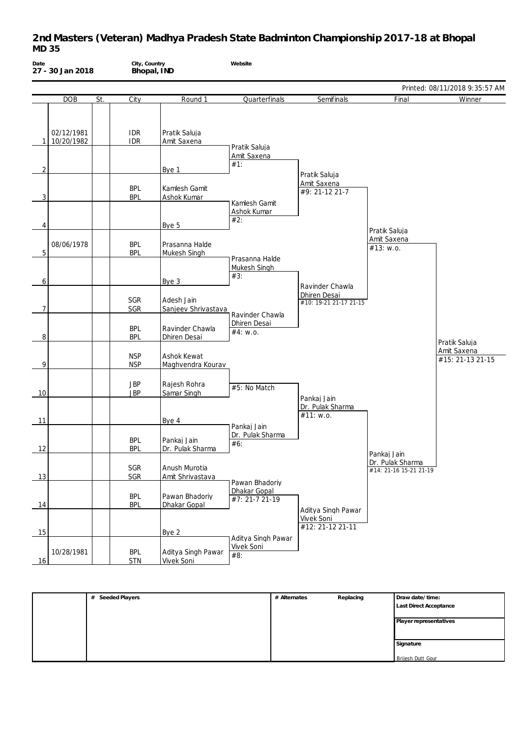| Date | 27 - 30 Jan 2018         |     | City, Country<br>Bhopal, IND |                                         | Website                                          |                                                      |                                                           |                                 |
|------|--------------------------|-----|------------------------------|-----------------------------------------|--------------------------------------------------|------------------------------------------------------|-----------------------------------------------------------|---------------------------------|
|      |                          |     |                              |                                         |                                                  |                                                      |                                                           | Printed: 08/11/2018 9:35:57 AM  |
|      | <b>DOB</b>               | St. | City                         | Round 1                                 | Quarterfinals                                    | Semifinals                                           | Final                                                     | Winner                          |
| 1    | 02/12/1981<br>10/20/1982 |     | <b>IDR</b><br><b>IDR</b>     | Pratik Saluja<br>Amit Saxena            | Pratik Saluja                                    |                                                      |                                                           |                                 |
|      |                          |     |                              |                                         | Amit Saxena<br>#1:                               |                                                      |                                                           |                                 |
| 2    |                          |     |                              | Bye 1                                   |                                                  | Pratik Saluja                                        |                                                           |                                 |
| 3    |                          |     | <b>BPL</b><br><b>BPL</b>     | Kamlesh Gamit<br>Ashok Kumar            | Kamlesh Gamit                                    | Amit Saxena<br>#9: 21-12 21-7                        |                                                           |                                 |
| 4    |                          |     |                              | Bye 5                                   | Ashok Kumar<br>#2:                               |                                                      |                                                           |                                 |
|      |                          |     |                              |                                         |                                                  |                                                      | Pratik Saluja<br>Amit Saxena                              |                                 |
| 5    | 08/06/1978               |     | <b>BPL</b><br><b>BPL</b>     | Prasanna Halde<br>Mukesh Singh          |                                                  |                                                      | #13: w.o.                                                 |                                 |
| 6    |                          |     |                              | Bye 3                                   | Prasanna Halde<br>Mukesh Singh<br>#3:            |                                                      |                                                           |                                 |
|      |                          |     |                              |                                         |                                                  | Ravinder Chawla<br>Dhiren Desai                      |                                                           |                                 |
| 7    |                          |     | SGR<br>SGR                   | Adesh Jain<br>Sanjeev Shrivastava       | Ravinder Chawla                                  | #10: 19-21 21-17 21-15                               |                                                           |                                 |
| 8    |                          |     | <b>BPL</b><br><b>BPL</b>     | Ravinder Chawla<br>Dhiren Desai         | Dhiren Desai<br>#4: W.0.                         |                                                      |                                                           | Pratik Saluja                   |
| 9    |                          |     | <b>NSP</b><br><b>NSP</b>     | Ashok Kewat<br>Maghvendra Kourav        |                                                  |                                                      |                                                           | Amit Saxena<br>#15: 21-13 21-15 |
| 10   |                          |     | <b>JBP</b><br><b>JBP</b>     | Rajesh Rohra<br>Samar Singh             | #5: No Match                                     | Pankaj Jain                                          |                                                           |                                 |
| 11   |                          |     |                              | Bye 4                                   |                                                  | Dr. Pulak Sharma<br>#11: w.o.                        |                                                           |                                 |
| 12   |                          |     | <b>BPL</b><br><b>BPL</b>     | Pankaj Jain<br>Dr. Pulak Sharma         | Pankaj Jain<br>Dr. Pulak Sharma<br>#6:           |                                                      |                                                           |                                 |
| 13   |                          |     | SGR<br>SGR                   | Anush Murotia<br>Amit Shrivastava       |                                                  |                                                      | Pankaj Jain<br>Dr. Pulak Sharma<br>#14: 21-16 15-21 21-19 |                                 |
| 14   |                          |     | <b>BPL</b><br><b>BPL</b>     | Pawan Bhadoriy<br>Dhakar Gopal          | Pawan Bhadoriy<br>Dhakar Gopal<br>#7: 21-7 21-19 |                                                      |                                                           |                                 |
| 15   |                          |     |                              | Bye 2                                   |                                                  | Aditya Singh Pawar<br>Vivek Soni<br>#12: 21-12 21-11 |                                                           |                                 |
| 16   | 10/28/1981               |     | <b>BPL</b><br><b>STN</b>     | Aditya Singh Pawar<br><b>Vivek Soni</b> | Aditya Singh Pawar<br>Vivek Soni<br>#8:          |                                                      |                                                           |                                 |

| Seeded Players<br># | # Alternates | Replacing | Draw date/time:        |
|---------------------|--------------|-----------|------------------------|
|                     |              |           | Last Direct Acceptance |
|                     |              |           |                        |
|                     |              |           | Player representatives |
|                     |              |           |                        |
|                     |              |           | Signature              |
|                     |              |           |                        |
|                     |              |           | Brijesh Dutt Gour      |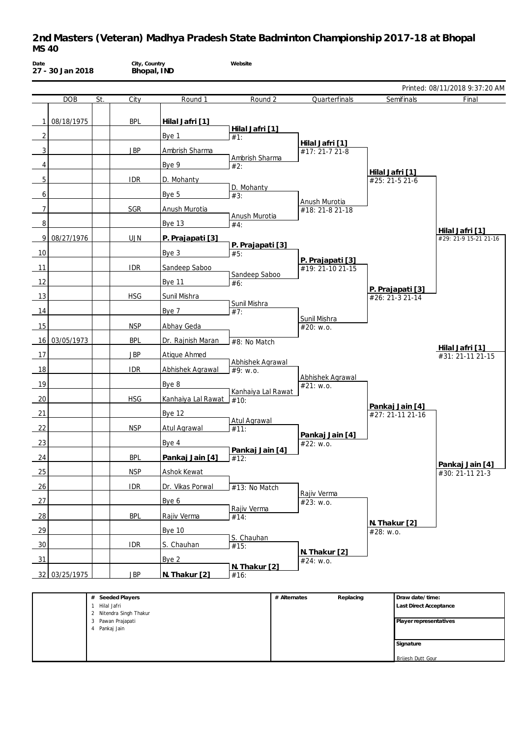| Date           | 27 - 30 Jan 2018 |               | City, Country<br>Bhopal, IND                 |                    | Website                 |              |                                      |                 |                                           |                                          |
|----------------|------------------|---------------|----------------------------------------------|--------------------|-------------------------|--------------|--------------------------------------|-----------------|-------------------------------------------|------------------------------------------|
|                |                  |               |                                              |                    |                         |              |                                      |                 |                                           | Printed: 08/11/2018 9:37:20 AM           |
|                | <b>DOB</b>       | St.           | City                                         | Round 1            | Round 2                 |              | Quarterfinals                        |                 | Semifinals                                | Final                                    |
| 1              | 08/18/1975       |               | <b>BPL</b>                                   |                    |                         |              |                                      |                 |                                           |                                          |
|                |                  |               |                                              | Hilal Jafri [1]    | Hilal Jafri [1]         |              |                                      |                 |                                           |                                          |
| $\overline{2}$ |                  |               |                                              | Bye 1              | #1:                     |              | Hilal Jafri [1]                      |                 |                                           |                                          |
| 3              |                  |               | <b>JBP</b>                                   | Ambrish Sharma     | Ambrish Sharma          |              | #17: 21-7 21-8                       |                 |                                           |                                          |
| 4              |                  |               |                                              | Bye 9              | #2:                     |              |                                      | Hilal Jafri [1] |                                           |                                          |
| 5              |                  |               | <b>IDR</b>                                   | D. Mohanty         | D. Mohanty              |              |                                      | #25: 21-5 21-6  |                                           |                                          |
| 6              |                  |               |                                              | Bye 5              | #3:                     |              | Anush Murotia                        |                 |                                           |                                          |
| $\overline{7}$ |                  |               | SGR                                          | Anush Murotia      | Anush Murotia           |              | #18: 21-8 21-18                      |                 |                                           |                                          |
| 8              |                  |               |                                              | <b>Bye 13</b>      | #4:                     |              |                                      |                 |                                           |                                          |
| 9              | 08/27/1976       |               | <b>UJN</b>                                   | P. Prajapati [3]   |                         |              |                                      |                 |                                           | Hilal Jafri [1]<br>#29: 21-9 15-21 21-16 |
| 10             |                  |               |                                              | Bye 3              | P. Prajapati [3]<br>#5: |              |                                      |                 |                                           |                                          |
| 11             |                  |               | <b>IDR</b>                                   | Sandeep Saboo      |                         |              | P. Prajapati [3]<br>#19: 21-10 21-15 |                 |                                           |                                          |
| 12             |                  |               |                                              | <b>Bye 11</b>      | Sandeep Saboo<br>#6:    |              |                                      |                 |                                           |                                          |
| 13             |                  |               | <b>HSG</b>                                   | Sunil Mishra       |                         |              |                                      |                 | P. Prajapati [3]<br>#26: 21-3 21-14       |                                          |
| 14             |                  |               |                                              | Bye 7              | Sunil Mishra            |              |                                      |                 |                                           |                                          |
|                |                  |               |                                              |                    | #7:                     |              | Sunil Mishra                         |                 |                                           |                                          |
| 15             |                  |               | <b>NSP</b>                                   | Abhay Geda         |                         |              | #20: w.o.                            |                 |                                           |                                          |
| 16             | 03/05/1973       |               | <b>BPL</b>                                   | Dr. Rajnish Maran  | #8: No Match            |              |                                      |                 |                                           | <u>Hilal Jafri [1]</u>                   |
| 17             |                  |               | <b>JBP</b>                                   | Atique Ahmed       | Abhishek Agrawal        |              |                                      |                 |                                           | #31: 21-11 21-15                         |
| 18             |                  |               | <b>IDR</b>                                   | Abhishek Agrawal   | #9: w.o.                |              | Abhishek Agrawal                     |                 |                                           |                                          |
| 19             |                  |               |                                              | Bye 8              | Kanhaiya Lal Rawat      |              | #21: W.0.                            |                 |                                           |                                          |
| 20             |                  |               | <b>HSG</b>                                   | Kanhaiya Lal Rawat | #10:                    |              |                                      |                 |                                           |                                          |
| 21             |                  |               |                                              | <b>Bye 12</b>      |                         |              |                                      |                 | Pankaj Jain [4]<br>#27: 21-11 21-16       |                                          |
| 22             |                  |               | <b>NSP</b>                                   | Atul Agrawal       | Atul Agrawal<br>#11:    |              |                                      |                 |                                           |                                          |
| 23             |                  |               |                                              | Bye 4              |                         |              | Pankaj Jain [4]<br>#22: w.o.         |                 |                                           |                                          |
| 24             |                  |               | <b>BPL</b>                                   | Pankaj Jain [4]    | Pankaj Jain [4]<br>#12: |              |                                      |                 |                                           |                                          |
| 25             |                  |               | <b>NSP</b>                                   | Ashok Kewat        |                         |              |                                      |                 |                                           | Pankaj Jain [4]<br>#30: 21-11 21-3       |
| 26             |                  |               | <b>IDR</b>                                   | Dr. Vikas Porwal   |                         |              |                                      |                 |                                           |                                          |
| 27             |                  |               |                                              |                    | #13: No Match           |              | Rajiv Verma                          |                 |                                           |                                          |
|                |                  |               |                                              | Bye 6              | Rajiv Verma             |              | #23: w.o.                            |                 |                                           |                                          |
| 28             |                  |               | <b>BPL</b>                                   | Rajiv Verma        | #14:                    |              |                                      | N. Thakur [2]   |                                           |                                          |
| 29             |                  |               |                                              | <b>Bye 10</b>      | S. Chauhan              |              |                                      | #28: w.o.       |                                           |                                          |
| 30             |                  |               | <b>IDR</b>                                   | S. Chauhan         | #15:                    |              | N. Thakur [2]                        |                 |                                           |                                          |
| 31             |                  |               |                                              | Bye 2              | N. Thakur [2]           |              | #24: w.o.                            |                 |                                           |                                          |
| 32             | 03/25/1975       |               | <b>JBP</b>                                   | N. Thakur [2]      | #16:                    |              |                                      |                 |                                           |                                          |
|                |                  |               |                                              |                    |                         |              |                                      |                 |                                           |                                          |
|                |                  | 1 Hilal Jafri | # Seeded Players                             |                    |                         | # Alternates | Replacing                            |                 | Draw date/time:<br>Last Direct Acceptance |                                          |
|                |                  |               | 2 Nitendra Singh Thakur<br>3 Pawan Prajapati |                    |                         |              |                                      |                 | Player representatives                    |                                          |
|                |                  | 4 Pankaj Jain |                                              |                    |                         |              |                                      |                 |                                           |                                          |
|                |                  |               |                                              |                    |                         |              |                                      |                 | Signature                                 |                                          |

**Brijesh Dutt Gour**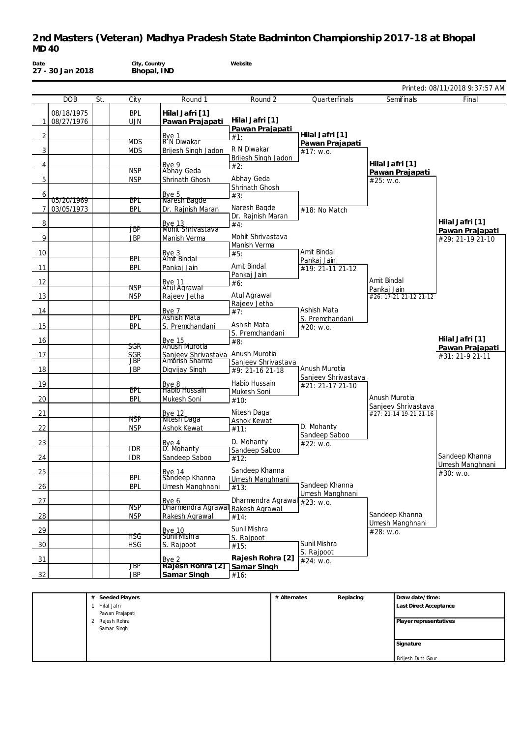| Date           | 27 - 30 Jan 2018 |               | City, Country<br>Bhopal, IND |                                                                    | Website                           |              |                                      |                 |                                               |                                     |
|----------------|------------------|---------------|------------------------------|--------------------------------------------------------------------|-----------------------------------|--------------|--------------------------------------|-----------------|-----------------------------------------------|-------------------------------------|
|                |                  |               |                              |                                                                    |                                   |              |                                      |                 |                                               | Printed: 08/11/2018 9:37:57 AM      |
|                | <b>DOB</b>       | St.           | City                         | Round 1                                                            | Round 2                           |              | Quarterfinals                        |                 | Semifinals                                    | Final                               |
|                | 08/18/1975       |               | <b>BPL</b>                   | Hilal Jafri [1]                                                    |                                   |              |                                      |                 |                                               |                                     |
| 1              | 08/27/1976       |               | <b>UJN</b>                   | Pawan Prajapati                                                    | Hilal Jafri [1]                   |              |                                      |                 |                                               |                                     |
|                |                  |               |                              |                                                                    | Pawan Prajapati                   |              | Hilal Jafri [1]                      |                 |                                               |                                     |
| 2              |                  |               | MDS.                         | Bye 1<br>R N Diwakar                                               | #1:                               |              | Pawan Prajapati                      |                 |                                               |                                     |
| 3              |                  |               | <b>MDS</b>                   | Brijesh Singh Jadon                                                | R N Diwakar                       |              | #17: w.o.                            |                 |                                               |                                     |
|                |                  |               |                              |                                                                    | Brijesh Singh Jadon               |              |                                      | Hilal Jafri [1] |                                               |                                     |
| 4              |                  |               | NSP                          | Bye 9<br>Abhay Geda                                                | #2:                               |              |                                      |                 | Pawan Prajapati                               |                                     |
| 5              |                  |               | <b>NSP</b>                   | Shrinath Ghosh                                                     | Abhay Geda                        |              |                                      | #25: W.0.       |                                               |                                     |
|                |                  |               |                              |                                                                    | Shrinath Ghosh                    |              |                                      |                 |                                               |                                     |
| 6              | 05/20/1969       |               | BPL                          | Bye 5<br>Naresh Bagde                                              | #3:                               |              |                                      |                 |                                               |                                     |
| $\overline{7}$ | 03/05/1973       |               | <b>BPL</b>                   | Dr. Rajnish Maran                                                  | Naresh Bagde                      |              | #18: No Match                        |                 |                                               |                                     |
|                |                  |               |                              |                                                                    | Dr. Rajnish Maran                 |              |                                      |                 |                                               |                                     |
| 8              |                  |               | JBP                          | <b>Bye 13</b><br>Mohit Shrivastava                                 | #4:                               |              |                                      |                 |                                               | Hilal Jafri [1]                     |
| 9              |                  |               | <b>JBP</b>                   | Manish Verma                                                       | Mohit Shrivastava                 |              |                                      |                 |                                               | Pawan Prajapati<br>#29: 21-19 21-10 |
|                |                  |               |                              |                                                                    | Manish Verma                      |              |                                      |                 |                                               |                                     |
| 10             |                  |               |                              | Bye 3<br>Amit Bindal                                               | #5:                               |              | Amit Bindal                          |                 |                                               |                                     |
|                |                  |               | BPL                          |                                                                    | Amit Bindal                       |              | Pankaj Jain                          |                 |                                               |                                     |
| 11             |                  |               | <b>BPL</b>                   | Pankaj Jain                                                        | Pankaj Jain                       |              | #19: 21-11 21-12                     |                 |                                               |                                     |
| 12             |                  |               |                              | Bye 11<br>Atul Agrawal                                             | #6:                               |              |                                      | Amit Bindal     |                                               |                                     |
|                |                  |               | NSP                          |                                                                    |                                   |              |                                      | Pankaj Jain     |                                               |                                     |
| 13             |                  |               | <b>NSP</b>                   | Rajeev Jetha                                                       | Atul Agrawal                      |              |                                      |                 | #26: 17-21 21-12 21-12                        |                                     |
| 14             |                  |               |                              | Bye 7                                                              | Rajeev Jetha<br>#7:               |              | Ashish Mata                          |                 |                                               |                                     |
|                |                  |               | BPL                          | Ashish Mata                                                        |                                   |              | S. Premchandani                      |                 |                                               |                                     |
| 15             |                  |               | <b>BPL</b>                   | S. Premchandani                                                    | Ashish Mata                       |              | #20: w.o.                            |                 |                                               |                                     |
| 16             |                  |               |                              | <b>Bye 15</b>                                                      | S. Premchandani                   |              |                                      |                 |                                               | Hilal Jafri [1]                     |
|                |                  |               | SGR                          | <b>Anush Murotia</b>                                               | #8:                               |              |                                      |                 |                                               | Pawan Prajapati                     |
| 17             |                  |               | <b>SGR</b>                   | Sanjeev Shrivastava Anush Murotia<br>Ambrish Sharma Tanieev Shriva |                                   |              |                                      |                 |                                               | #31: 21-9 21-11                     |
|                |                  |               | JBP                          |                                                                    | Sanjeev Shrivastava               |              |                                      |                 |                                               |                                     |
| 18             |                  |               | <b>JBP</b>                   | Digvijay Singh                                                     | #9: 21-16 21-18                   |              | Anush Murotia<br>Sanjeev Shrivastava |                 |                                               |                                     |
| 19             |                  |               |                              |                                                                    | Habib Hussain                     |              | #21: 21-17 21-10                     |                 |                                               |                                     |
|                |                  |               | BPL                          | Bye 8<br>Habib Hussain                                             | Mukesh Soni                       |              |                                      |                 |                                               |                                     |
| 20             |                  |               | <b>BPL</b>                   | Mukesh Soni                                                        | #10:                              |              |                                      | Anush Murotia   |                                               |                                     |
| 21             |                  |               |                              |                                                                    | Nitesh Daga                       |              |                                      |                 | Sanjeev Shrivastava<br>#27: 21-14 19-21 21-16 |                                     |
|                |                  |               | NSP                          | Bye 12<br>Nitesh Daga                                              | Ashok Kewat                       |              |                                      |                 |                                               |                                     |
| 22             |                  |               | <b>NSP</b>                   | <b>Ashok Kewat</b>                                                 | #11:                              |              | D. Mohanty                           |                 |                                               |                                     |
|                |                  |               |                              |                                                                    | D. Mohanty                        |              | Sandeep Saboo                        |                 |                                               |                                     |
| 23             |                  |               | TDR                          | Bye 4<br>D. Mohanty                                                | Sandeep Saboo                     |              | #22: w.o.                            |                 |                                               |                                     |
| 24             |                  |               | <b>IDR</b>                   | Sandeep Saboo                                                      | #12:                              |              |                                      |                 |                                               | Sandeep Khanna                      |
|                |                  |               |                              |                                                                    |                                   |              |                                      |                 |                                               | Umesh Manghnani                     |
| 25             |                  |               | BPL                          | Bye $14$<br>Sándeep Khanna                                         | Sandeep Khanna<br>Umesh Manghnani |              |                                      |                 |                                               | #30: w.o.                           |
| 26             |                  |               | <b>BPL</b>                   | Umesh Manghnani                                                    | #13:                              |              | Sandeep Khanna                       |                 |                                               |                                     |
|                |                  |               |                              |                                                                    |                                   |              | Umesh Manghnani                      |                 |                                               |                                     |
| 27             |                  |               | <b>NSP</b>                   | Bye 6                                                              | Dharmendra Agrawal                |              | #23: w.o.                            |                 |                                               |                                     |
| 28             |                  |               | <b>NSP</b>                   | Dharmendra Agrawal Rakesh Agrawal<br>Rakesh Agrawal                |                                   |              |                                      | Sandeep Khanna  |                                               |                                     |
|                |                  |               |                              |                                                                    | #14:                              |              |                                      |                 | Umesh Manghnani                               |                                     |
| 29             |                  |               |                              | <b>Bye 10</b>                                                      | Sunil Mishra                      |              |                                      | #28: w.o.       |                                               |                                     |
|                |                  |               | ĦSG                          | Sunii Mishra                                                       | S. Rajpoot                        |              | Sunil Mishra                         |                 |                                               |                                     |
| 30             |                  |               | <b>HSG</b>                   | S. Rajpoot                                                         | #15:                              |              | S. Rajpoot                           |                 |                                               |                                     |
| 31             |                  |               |                              | Bye 2                                                              | Rajesh Rohra [2]                  |              | #24: w.o.                            |                 |                                               |                                     |
|                |                  |               | JBP                          | Rajesh Rohra [2]                                                   | Samar Singh                       |              |                                      |                 |                                               |                                     |
| 32             |                  |               | <b>JBP</b>                   | Samar Singh                                                        | #16:                              |              |                                      |                 |                                               |                                     |
|                |                  |               |                              |                                                                    |                                   |              |                                      |                 |                                               |                                     |
|                |                  |               | # Seeded Players             |                                                                    |                                   | # Alternates | Replacing                            |                 | Draw date/time:                               |                                     |
|                |                  | 1 Hilal Jafri |                              |                                                                    |                                   |              |                                      |                 | Last Direct Acceptance                        |                                     |
|                |                  |               | Pawan Prajanati              |                                                                    |                                   |              |                                      |                 |                                               |                                     |

| Seeded Players<br># | # Alternates | Replacing | Draw date/time:          |
|---------------------|--------------|-----------|--------------------------|
| Hilal Jafri         |              |           | Last Direct Acceptance   |
| Pawan Prajapati     |              |           |                          |
| Rajesh Rohra<br>2   |              |           | Player representatives   |
| Samar Singh         |              |           |                          |
|                     |              |           |                          |
|                     |              |           | Signature                |
|                     |              |           |                          |
|                     |              |           | <b>Brijesh Dutt Gour</b> |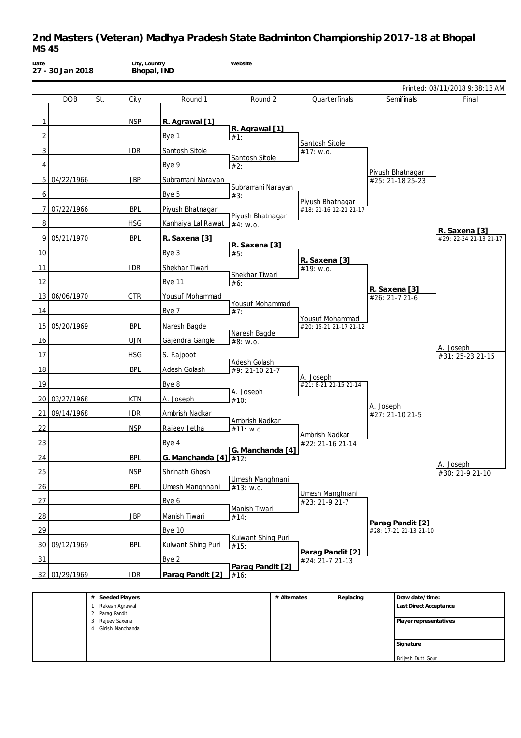| Date            | 27 - 30 Jan 2018 |     | City, Country<br>Bhopal, IND         |                         | Website                      |              |                                    |                                 |                                           |
|-----------------|------------------|-----|--------------------------------------|-------------------------|------------------------------|--------------|------------------------------------|---------------------------------|-------------------------------------------|
|                 |                  |     |                                      |                         |                              |              |                                    |                                 | Printed: 08/11/2018 9:38:13 AM            |
|                 | <b>DOB</b>       | St. | City                                 | Round 1                 | Round 2                      |              | Quarterfinals                      | Semifinals                      | Final                                     |
| $\mathbf{1}$    |                  |     | <b>NSP</b>                           | R. Agrawal [1]          |                              |              |                                    |                                 |                                           |
|                 |                  |     |                                      |                         | R. Agrawal [1]               |              |                                    |                                 |                                           |
| $\overline{2}$  |                  |     |                                      | Bye 1                   | #1:                          |              | Santosh Sitole                     |                                 |                                           |
| 3               |                  |     | <b>IDR</b>                           | Santosh Sitole          | Santosh Sitole               |              | #17: w.o.                          |                                 |                                           |
| 4               |                  |     |                                      | Bye 9                   | #2:                          |              |                                    | Piyush Bhatnagar                |                                           |
| 5 <sup>1</sup>  | 04/22/1966       |     | <b>JBP</b>                           | Subramani Narayan       | Subramani Narayan            |              |                                    | #25: 21-18 25-23                |                                           |
| 6               |                  |     |                                      | Bye 5                   | #3:                          |              | Piyush Bhatnagar                   |                                 |                                           |
| 7 <sup>1</sup>  | 07/22/1966       |     | <b>BPL</b>                           | Piyush Bhatnagar        | Piyush Bhatnagar             |              | #18: 21-16 12-21 21-17             |                                 |                                           |
| 8               |                  |     | <b>HSG</b>                           | Kanhaiya Lal Rawat      | #4: W.0.                     |              |                                    |                                 |                                           |
| 9               | 05/21/1970       |     | <b>BPL</b>                           | R. Saxena [3]           |                              |              |                                    |                                 | R. Saxena [3]<br>#29: 22-24 21-13 21-17   |
| 10              |                  |     |                                      | Bye 3                   | R. Saxena [3]<br>#5:         |              |                                    |                                 |                                           |
| 11              |                  |     | <b>IDR</b>                           | Shekhar Tiwari          |                              |              | R. Saxena [3]<br>#19: w.o.         |                                 |                                           |
| 12              |                  |     |                                      | <b>Bye 11</b>           | Shekhar Tiwari<br>#6:        |              |                                    |                                 |                                           |
| 13              | 06/06/1970       |     | <b>CTR</b>                           | Yousuf Mohammad         |                              |              |                                    | R. Saxena [3]<br>#26: 21-7 21-6 |                                           |
| 14              |                  |     |                                      | Bye 7                   | Yousuf Mohammad<br>#7:       |              |                                    |                                 |                                           |
|                 |                  |     |                                      |                         |                              |              | Yousuf Mohammad                    |                                 |                                           |
| 15              | 05/20/1969       |     | <b>BPL</b>                           | Naresh Bagde            | Naresh Bagde                 |              | #20: 15-21 21-17 21-12             |                                 |                                           |
| 16              |                  |     | <b>UJN</b>                           | Gajendra Gangle         | #8: w.o.                     |              |                                    |                                 | A. Joseph                                 |
| 17              |                  |     | <b>HSG</b>                           | S. Rajpoot              | Adesh Golash                 |              |                                    |                                 | #31: 25-23 21-15                          |
| 18              |                  |     | <b>BPL</b>                           | Adesh Golash            | $#9: 21-1021-7$              |              | A. Joseph                          |                                 |                                           |
| 19              |                  |     |                                      | Bye 8                   | A. Joseph                    |              | #21: 8-21 21-15 21-14              |                                 |                                           |
| 20 <sup>1</sup> | 03/27/1968       |     | <b>KTN</b>                           | A. Joseph               | #10:                         |              |                                    |                                 |                                           |
| 21              | 09/14/1968       |     | <b>IDR</b>                           | Ambrish Nadkar          |                              |              |                                    | A. Joseph<br>#27: 21-10 21-5    |                                           |
| 22              |                  |     | <b>NSP</b>                           | Rajeev Jetha            | Ambrish Nadkar<br>#11: w.o.  |              |                                    |                                 |                                           |
| 23              |                  |     |                                      | Bye 4                   |                              |              | Ambrish Nadkar<br>#22: 21-16 21-14 |                                 |                                           |
| 24              |                  |     | <b>BPL</b>                           | G. Manchanda $[4]$ #12: | G. Manchanda [4]             |              |                                    |                                 |                                           |
| 25              |                  |     | <b>NSP</b>                           | Shrinath Ghosh          |                              |              |                                    |                                 | A. Joseph<br>#30: 21-9 21-10              |
| 26              |                  |     | <b>BPL</b>                           | Umesh Manghnani         | Umesh Manghnani<br>#13: w.o. |              |                                    |                                 |                                           |
| 27              |                  |     |                                      | Bye 6                   |                              |              | Umesh Manghnani                    |                                 |                                           |
|                 |                  |     |                                      |                         | Manish Tiwari                |              | #23: 21-9 21-7                     |                                 |                                           |
| 28              |                  |     | <b>JBP</b>                           | Manish Tiwari           | #14:                         |              |                                    | Parag Pandit [2]                |                                           |
| 29              |                  |     |                                      | <b>Bye 10</b>           | Kulwant Shing Puri           |              |                                    | #28: 17-21 21-13 21-10          |                                           |
| 30              | 09/12/1969       |     | <b>BPL</b>                           | Kulwant Shing Puri      | #15:                         |              | Parag Pandit [2]                   |                                 |                                           |
| 31              |                  |     |                                      | Bye 2                   | Parag Pandit [2]             |              | #24: 21-7 21-13                    |                                 |                                           |
|                 | 32 01/29/1969    |     | <b>IDR</b>                           | Parag Pandit [2]        | #16:                         |              |                                    |                                 |                                           |
|                 |                  |     |                                      |                         |                              |              |                                    |                                 |                                           |
|                 |                  |     | # Seeded Players<br>1 Rakesh Agrawal |                         |                              | # Alternates | Replacing                          |                                 | Draw date/time:<br>Last Direct Acceptance |
|                 |                  | 2   | Parag Pandit<br>3 Rajeev Saxena      |                         |                              |              |                                    |                                 | Player representatives                    |
|                 |                  | 4   | Girish Manchanda                     |                         |                              |              |                                    |                                 |                                           |
|                 |                  |     |                                      |                         |                              |              |                                    | Signature                       |                                           |

Brijesh Dutt Gour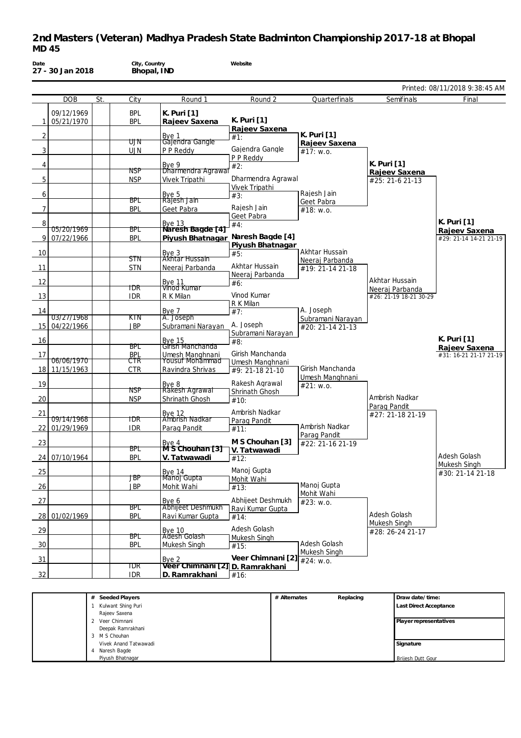| Date            | 27 - 30 Jan 2018      |     | City, Country<br>Bhopal, IND |                                                    | Website            |                              |                        |                                |
|-----------------|-----------------------|-----|------------------------------|----------------------------------------------------|--------------------|------------------------------|------------------------|--------------------------------|
|                 |                       |     |                              |                                                    |                    |                              |                        | Printed: 08/11/2018 9:38:45 AM |
|                 | <b>DOB</b>            | St. | City                         | Round 1                                            | Round 2            | Quarterfinals                | Semifinals             | Final                          |
|                 | 09/12/1969            |     | <b>BPL</b>                   | K. Puri [1]                                        |                    |                              |                        |                                |
| 1               | 05/21/1970            |     | <b>BPL</b>                   | Rajeev Saxena                                      | K. Puri [1]        |                              |                        |                                |
|                 |                       |     |                              |                                                    | Rajeev Saxena      |                              |                        |                                |
| 2               |                       |     | ሀገ                           | Bye 1<br>Gajendra Gangle                           | #1:                | K. Puri [1]<br>Rajeev Saxena |                        |                                |
| 3               |                       |     | <b>UJN</b>                   | P P Reddy                                          | Gajendra Gangle    | #17: W.0.                    |                        |                                |
|                 |                       |     |                              |                                                    | P P Reddy          |                              |                        |                                |
| 4               |                       |     |                              | Bye 9<br>Dharmendra Agrawal                        | #2:                |                              | K. Puri [1]            |                                |
| 5               |                       |     | NSP<br><b>NSP</b>            |                                                    | Dharmendra Agrawal |                              | Rajeev Saxena          |                                |
|                 |                       |     |                              | Vivek Tripathi                                     | Vivek Tripathi     |                              | #25: 21-6 21-13        |                                |
| 6               |                       |     |                              |                                                    | #3:                | Rajesh Jain                  |                        |                                |
|                 |                       |     | BPL                          | Bye 5<br>Rajesh Jain                               |                    | Geet Pabra                   |                        |                                |
| $\overline{7}$  |                       |     | <b>BPL</b>                   | Geet Pabra                                         | Rajesh Jain        | #18: w.o.                    |                        |                                |
|                 |                       |     |                              |                                                    | Geet Pabra         |                              |                        | K. Puri [1]                    |
| 8               | 05/20/1969            |     | BPL                          | <b>Bye 13</b><br>Naresh Bagde 141                  | #4:                |                              |                        | Rajeev Saxena                  |
| 9               | 07/22/1966            |     | <b>BPL</b>                   | Piyush Bhatnagar                                   | Naresh Bagde [4]   |                              |                        | #29: 21-14 14-21 21-19         |
|                 |                       |     |                              |                                                    | Piyush Bhatnagar   |                              |                        |                                |
| 10              |                       |     |                              | Bye 3<br>Akhtar Hussain                            | #5:                | Akhtar Hussain               |                        |                                |
|                 |                       |     | <b>STN</b>                   |                                                    | Akhtar Hussain     | Neeraj Parbanda              |                        |                                |
| 11              |                       |     | <b>STN</b>                   | Neeraj Parbanda                                    | Neeraj Parbanda    | #19: 21-14 21-18             |                        |                                |
| 12              |                       |     |                              |                                                    | #6:                |                              | Akhtar Hussain         |                                |
|                 |                       |     | TDR                          | Bye 11<br>Vinod Kumar                              |                    |                              | Neeraj Parbanda        |                                |
| 13              |                       |     | <b>IDR</b>                   | R K Milan                                          | Vinod Kumar        |                              | #26: 21-19 18-21 30-29 |                                |
|                 |                       |     |                              |                                                    | R K Milan          | A. Joseph                    |                        |                                |
| 14              | 03/27/1968            |     | KTN                          | Bye 7<br>A. Joseph                                 | #7:                | Subramani Narayan            |                        |                                |
| 15 <sup>1</sup> | 04/22/1966            |     | <b>JBP</b>                   | Subramani Narayan                                  | A. Joseph          | #20: 21-14 21-13             |                        |                                |
|                 |                       |     |                              |                                                    | Subramani Narayan  |                              |                        |                                |
| 16              |                       |     |                              | Bye 15<br>Girish Manchanda                         | #8:                |                              |                        | K. Puri [1]                    |
|                 |                       |     | BPL                          |                                                    | Girish Manchanda   |                              |                        | Rajeev Saxena                  |
| 17              | <del>06/06/1970</del> |     | <b>BPL</b><br>$\tau$ tr      | Umesh Manghnani<br>Yousuf Mohammad                 | Umesh Manghnani    |                              |                        | #31: 16-21 21-17 21-19         |
| 18 I            | 11/15/1963            |     | <b>CTR</b>                   | Ravindra Shrivas                                   | #9: 21-18 21-10    | Girish Manchanda             |                        |                                |
|                 |                       |     |                              |                                                    |                    | Umesh Manghnani              |                        |                                |
| 19              |                       |     |                              | Bye 8<br>Rakesh Agrawal                            | Rakesh Agrawal     | #21: W.0.                    |                        |                                |
|                 |                       |     | NSP                          |                                                    | Shrinath Ghosh     |                              | Ambrish Nadkar         |                                |
| 20              |                       |     | <b>NSP</b>                   | Shrinath Ghosh                                     | #10:               |                              | Parag Pandit           |                                |
| 21              |                       |     |                              | Bye 12<br>Ambrish Nadkar                           | Ambrish Nadkar     |                              | #27: 21-18 21-19       |                                |
|                 | <del>09/14/1968</del> |     | TDR                          |                                                    | Parag Pandit       |                              |                        |                                |
| 22              | 01/29/1969            |     | <b>IDR</b>                   | Parag Pandit                                       | #11:               | Ambrish Nadkar               |                        |                                |
|                 |                       |     |                              |                                                    | M S Chouhan [3]    | Parag Pandit                 |                        |                                |
| 23              |                       |     | RDI                          | Bye 4 M S Chounail<br>M S Chouhan [3] V. Tatwawadi |                    | #22: 21-16 21-19             |                        |                                |
| 24              | 07/10/1964            |     | <b>BPL</b>                   | V. Tatwawadi                                       | #12:               |                              |                        | Adesh Golash                   |
|                 |                       |     |                              |                                                    |                    |                              |                        | Mukesh Singh                   |
| 25              |                       |     | JBP                          | Bye 14<br>Manoj Gupta                              | Manoj Gupta        |                              |                        | #30: 21-14 21-18               |
| 26              |                       |     | <b>JBP</b>                   | Mohit Wahi                                         | Mohit Wahi         | Manoj Gupta                  |                        |                                |
|                 |                       |     |                              |                                                    | #13:               | Mohit Wahi                   |                        |                                |
| 27              |                       |     |                              | Bye 6                                              | Abhijeet Deshmukh  | #23: w.o.                    |                        |                                |
|                 |                       |     | BPL                          | Abhijeet Deshmukh                                  | Ravi Kumar Gupta   |                              |                        |                                |
| 28 l            | 01/02/1969            |     | <b>BPL</b>                   | Ravi Kumar Gupta                                   | #14:               |                              | Adesh Golash           |                                |
| 29              |                       |     |                              | <b>Bye 10</b>                                      | Adesh Golash       |                              | Mukesh Singh           |                                |
|                 |                       |     | BPL                          | Adesh Golash                                       | Mukesh Singh       |                              | #28: 26-24 21-17       |                                |
| 30              |                       |     | <b>BPL</b>                   | Mukesh Singh                                       | #15:               | Adesh Golash                 |                        |                                |
|                 |                       |     |                              |                                                    |                    | Mukesh Singh                 |                        |                                |
| $\frac{31}{2}$  |                       |     |                              | Bye 2                                              | Veer Chimnani [2]  | $\frac{1}{424}$ : W.O.       |                        |                                |
|                 |                       |     | <b>IDR</b>                   | Veer Chimnani [21] D. Ramrakhani                   |                    |                              |                        |                                |
| 32              |                       |     | <b>IDR</b>                   | D. Ramrakhani                                      | #16:               |                              |                        |                                |
|                 |                       |     |                              |                                                    |                    |                              |                        |                                |
|                 |                       |     |                              |                                                    |                    |                              |                        |                                |

| Seeded Players<br>#   | # Alternates | Replacing | Draw date/time:               |
|-----------------------|--------------|-----------|-------------------------------|
| Kulwant Shing Puri    |              |           | <b>Last Direct Acceptance</b> |
| Rajeev Saxena         |              |           |                               |
| Veer Chimnani         |              |           | Player representatives        |
| Deepak Ramrakhani     |              |           |                               |
| M S Chouhan           |              |           |                               |
| Vivek Anand Tatwawadi |              |           | Signature                     |
| Naresh Bagde          |              |           |                               |
| Piyush Bhatnagar      |              |           | <b>Brijesh Dutt Gour</b>      |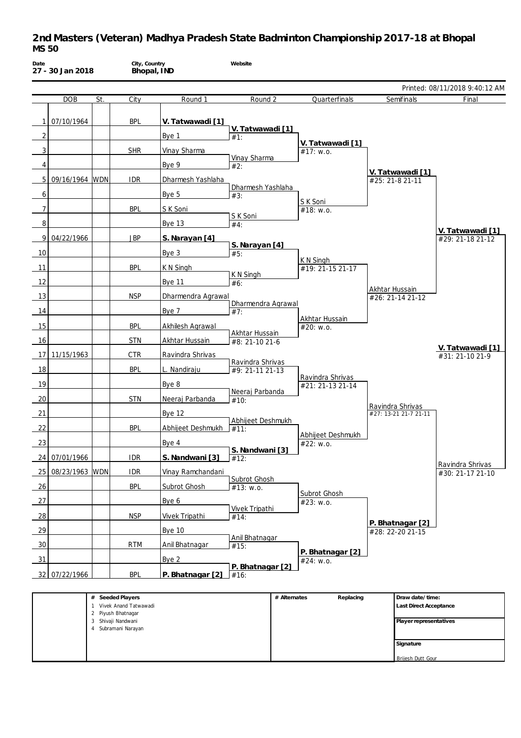| Date           | 27 - 30 Jan 2018 |                | City, Country<br>Bhopal, IND                |                         | Website                   |              |                                |                |                                           |                                |
|----------------|------------------|----------------|---------------------------------------------|-------------------------|---------------------------|--------------|--------------------------------|----------------|-------------------------------------------|--------------------------------|
|                |                  |                |                                             |                         |                           |              |                                |                |                                           | Printed: 08/11/2018 9:40:12 AM |
|                | <b>DOB</b>       | St.            | City                                        | Round 1                 | Round 2                   |              | Quarterfinals                  |                | Semifinals                                | Final                          |
| 1              | 07/10/1964       |                | <b>BPL</b>                                  | V. Tatwawadi [1]        |                           |              |                                |                |                                           |                                |
| $\overline{2}$ |                  |                |                                             | Bye 1                   | V. Tatwawadi [1]<br>#1:   |              |                                |                |                                           |                                |
| 3              |                  |                | <b>SHR</b>                                  | Vinay Sharma            |                           |              | V. Tatwawadi [1]<br>#17: w.o.  |                |                                           |                                |
| 4              |                  |                |                                             | Bye 9                   | Vinay Sharma<br>#2:       |              |                                |                |                                           |                                |
| 5 <sup>1</sup> | 09/16/1964 WDN   |                | <b>IDR</b>                                  | Dharmesh Yashlaha       |                           |              |                                |                | V. Tatwawadi [1]<br>#25: 21-8 21-11       |                                |
|                |                  |                |                                             |                         | Dharmesh Yashlaha         |              |                                |                |                                           |                                |
| 6              |                  |                |                                             | Bye 5                   | #3:                       |              | S K Soni                       |                |                                           |                                |
| 7              |                  |                | <b>BPL</b>                                  | S K Soni                | S K Soni                  |              | #18: w.o.                      |                |                                           |                                |
| 8              |                  |                |                                             | Bye 13                  | #4:                       |              |                                |                |                                           | V. Tatwawadi [1]               |
| 9              | 04/22/1966       |                | <b>JBP</b>                                  | S. Narayan [4]          | S. Narayan [4]            |              |                                |                |                                           | #29: 21-18 21-12               |
| 10             |                  |                |                                             | Bye 3                   | #5:                       |              |                                |                |                                           |                                |
| 11             |                  |                | <b>BPL</b>                                  | K N Singh               |                           |              | K N Singh<br>#19: 21-15 21-17  |                |                                           |                                |
| 12             |                  |                |                                             | <b>Bye 11</b>           | K N Singh<br>#6:          |              |                                |                |                                           |                                |
| 13             |                  |                | <b>NSP</b>                                  | Dharmendra Agrawal      |                           |              |                                | Akhtar Hussain | #26: 21-14 21-12                          |                                |
| 14             |                  |                |                                             | Bye 7                   | Dharmendra Agrawal<br>#7: |              |                                |                |                                           |                                |
|                |                  |                |                                             |                         |                           |              | Akhtar Hussain                 |                |                                           |                                |
| 15             |                  |                | <b>BPL</b>                                  | <b>Akhilesh Agrawal</b> | Akhtar Hussain            |              | #20: w.o.                      |                |                                           |                                |
| 16             |                  |                | <b>STN</b>                                  | Akhtar Hussain          | #8: 21-10 21-6            |              |                                |                |                                           | V. Tatwawadi [1]               |
| 17             | 11/15/1963       |                | <b>CTR</b>                                  | Ravindra Shrivas        | Ravindra Shrivas          |              |                                |                |                                           | #31: 21-10 21-9                |
| 18             |                  |                | <b>BPL</b>                                  | L. Nandiraju            | #9: 21-11 21-13           |              | Ravindra Shrivas               |                |                                           |                                |
| 19             |                  |                |                                             | Bye 8                   |                           |              | #21: 21-13 21-14               |                |                                           |                                |
| 20             |                  |                | <b>STN</b>                                  | Neeraj Parbanda         | Neeraj Parbanda<br>#10:   |              |                                |                |                                           |                                |
| 21             |                  |                |                                             | <b>Bye 12</b>           |                           |              |                                |                | Ravindra Shrivas<br>#27: 13-21 21-7 21-11 |                                |
| 22             |                  |                | BPL                                         | Abhijeet Deshmukh       | Abhijeet Deshmukh<br>#11: |              |                                |                |                                           |                                |
| 23             |                  |                |                                             | Bye 4                   |                           |              | Abhijeet Deshmukh<br>#22: w.o. |                |                                           |                                |
|                | 07/01/1966       |                |                                             | S. Nandwani [3]         | S. Nandwani [3]           |              |                                |                |                                           |                                |
| 24             |                  |                | <b>IDR</b>                                  |                         | #12:                      |              |                                |                |                                           | Ravindra Shrivas               |
| 25             | 08/23/1963 WDN   |                | <b>IDR</b>                                  | Vinay Ramchandani       | Subrot Ghosh              |              |                                |                |                                           | #30: 21-17 21-10               |
| 26             |                  |                | <b>BPL</b>                                  | Subrot Ghosh            | #13: w.o.                 |              | Subrot Ghosh                   |                |                                           |                                |
| 27             |                  |                |                                             | Bye 6                   | <b>Vivek Tripathi</b>     |              | #23: w.o.                      |                |                                           |                                |
| 28             |                  |                | <b>NSP</b>                                  | Vivek Tripathi          | #14:                      |              |                                |                | P. Bhatnagar [2]                          |                                |
| 29             |                  |                |                                             | <b>Bye 10</b>           |                           |              |                                |                | #28: 22-20 21-15                          |                                |
| 30             |                  |                | <b>RTM</b>                                  | Anil Bhatnagar          | Anil Bhatnagar<br>#15:    |              |                                |                |                                           |                                |
| 31             |                  |                |                                             | Bye 2                   |                           |              | P. Bhatnagar [2]<br>#24: w.o.  |                |                                           |                                |
|                | 32 07/22/1966    |                | <b>BPL</b>                                  | P. Bhatnagar [2]        | P. Bhatnagar [2]<br>#16:  |              |                                |                |                                           |                                |
|                |                  |                |                                             |                         |                           |              |                                |                |                                           |                                |
|                |                  |                | # Seeded Players<br>1 Vivek Anand Tatwawadi |                         |                           | # Alternates | Replacing                      |                | Draw date/time:<br>Last Direct Acceptance |                                |
|                |                  | $\overline{c}$ | Piyush Bhatnagar<br>3 Shivaji Nandwani      |                         |                           |              |                                |                | Player representatives                    |                                |
|                |                  |                | 4 Subramani Narayan                         |                         |                           |              |                                |                |                                           |                                |
|                |                  |                |                                             |                         |                           |              |                                |                | Signature                                 |                                |

Brijesh Dutt Gour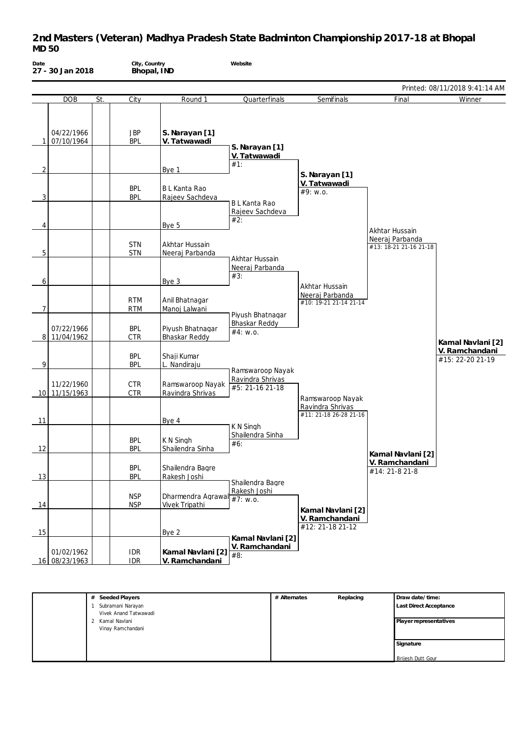| Date           | 27 - 30 Jan 2018            |     | City, Country<br>Bhopal, IND |                                         | Website                                       |                                            |                                                             |                                    |
|----------------|-----------------------------|-----|------------------------------|-----------------------------------------|-----------------------------------------------|--------------------------------------------|-------------------------------------------------------------|------------------------------------|
|                |                             |     |                              |                                         |                                               |                                            |                                                             | Printed: 08/11/2018 9:41:14 AM     |
|                | <b>DOB</b>                  | St. | City                         | Round 1                                 | Quarterfinals                                 | Semifinals                                 | Final                                                       | Winner                             |
|                | 04/22/1966<br>07/10/1964    |     | <b>JBP</b><br><b>BPL</b>     | S. Narayan [1]<br>V. Tatwawadi          | S. Narayan [1]                                |                                            |                                                             |                                    |
| 2              |                             |     |                              | Bye 1                                   | V. Tatwawadi<br>#1:                           |                                            |                                                             |                                    |
| 3              |                             |     | <b>BPL</b><br><b>BPL</b>     | B L Kanta Rao<br>Rajeev Sachdeva        |                                               | S. Narayan [1]<br>V. Tatwawadi<br>#9: w.o. |                                                             |                                    |
| 4              |                             |     |                              | Bye 5                                   | <b>BL Kanta Rao</b><br>Rajeev Sachdeva<br>#2: |                                            |                                                             |                                    |
| 5              |                             |     | <b>STN</b><br><b>STN</b>     | Akhtar Hussain<br>Neeraj Parbanda       | Akhtar Hussain                                |                                            | Akhtar Hussain<br>Neeraj Parbanda<br>#13: 18-21 21-16 21-18 |                                    |
| 6              |                             |     |                              | Bye 3                                   | Neeraj Parbanda<br>#3:                        | Akhtar Hussain                             |                                                             |                                    |
| $\overline{7}$ |                             |     | <b>RTM</b><br><b>RTM</b>     | Anil Bhatnagar<br>Manoj Lalwani         | Piyush Bhatnagar                              | Neeraj Parbanda<br>#10: 19-21 21-14 21-14  |                                                             |                                    |
|                | 07/22/1966<br>8 11/04/1962  |     | <b>BPL</b><br><b>CTR</b>     | Piyush Bhatnagar<br>Bhaskar Reddy       | Bhaskar Reddy<br>#4: w.o.                     |                                            |                                                             | Kamal Navlani [2]                  |
| 9              |                             |     | <b>BPL</b><br><b>BPL</b>     | Shaji Kumar<br>L. Nandiraju             | Ramswaroop Nayak                              |                                            |                                                             | V. Ramchandani<br>#15: 22-20 21-19 |
|                | 11/22/1960<br>10 11/15/1963 |     | <b>CTR</b><br><b>CTR</b>     | Ramswaroop Nayak<br>Ravindra Shrivas    | Ravindra Shrivas<br>#5: 21-16 21-18           | Ramswaroop Nayak                           |                                                             |                                    |
| 11             |                             |     |                              | Bye 4                                   | K N Singh                                     | Ravindra Shrivas<br>#11: 21-18 26-28 21-16 |                                                             |                                    |
| 12             |                             |     | <b>BPL</b><br><b>BPL</b>     | K N Singh<br>Shailendra Sinha           | Shailendra Sinha<br>#6:                       |                                            | Kamal Navlani [2]                                           |                                    |
| 13             |                             |     | <b>BPL</b><br><b>BPL</b>     | Shailendra Bagre<br>Rakesh Joshi        | Shailendra Bagre                              |                                            | V. Ramchandani<br>#14: 21-8 21-8                            |                                    |
| 14             |                             |     | <b>NSP</b><br><b>NSP</b>     | Dharmendra Agrawal<br>Vivek Tripathi    | Rakesh Joshi<br>#7: W.0.                      | Kamal Navlani [2]                          |                                                             |                                    |
| 15             |                             |     |                              | Bye 2                                   | Kamal Navlani [2]                             | V. Ramchandani<br>#12: 21-18 21-12         |                                                             |                                    |
|                | 01/02/1962<br>16 08/23/1963 |     | <b>IDR</b><br><b>IDR</b>     | Kamal Navlani [2] #8:<br>V. Ramchandani | V. Ramchandani                                |                                            |                                                             |                                    |

| Seeded Players<br>#   | # Alternates | Replacing | Draw date/time:        |
|-----------------------|--------------|-----------|------------------------|
| Subramani Narayan     |              |           | Last Direct Acceptance |
| Vivek Anand Tatwawadi |              |           |                        |
| 2 Kamal Navlani       |              |           | Player representatives |
| Vinay Ramchandani     |              |           |                        |
|                       |              |           | Signature              |
|                       |              |           |                        |
|                       |              |           | Brijesh Dutt Gour      |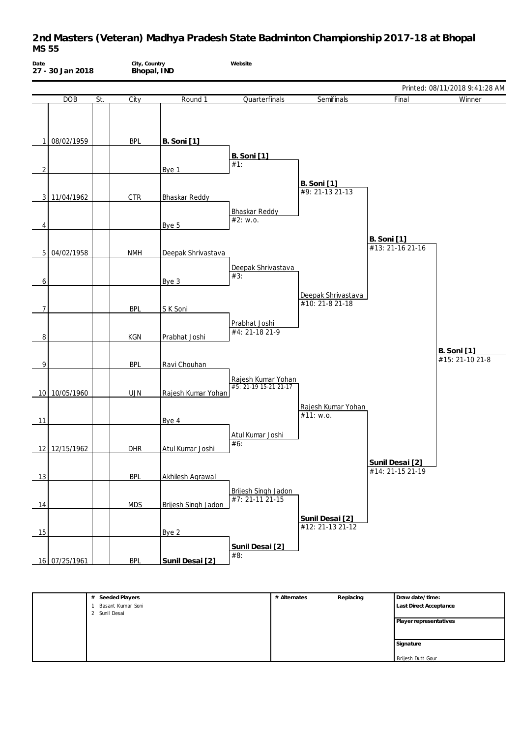| Date           | 27 - 30 Jan 2018 |     | City, Country<br>Bhopal, IND |                      | Website                                     |                                       |                                        |                                       |
|----------------|------------------|-----|------------------------------|----------------------|---------------------------------------------|---------------------------------------|----------------------------------------|---------------------------------------|
|                |                  |     |                              |                      |                                             |                                       |                                        | Printed: 08/11/2018 9:41:28 AM        |
|                | DOB              | St. | City                         | Round 1              | Quarterfinals                               | Semifinals                            | Final                                  | Winner                                |
| 1              | 08/02/1959       |     | <b>BPL</b>                   | <b>B.</b> Soni [1]   | <b>B.</b> Soni [1]                          |                                       |                                        |                                       |
| 2              |                  |     |                              | Bye 1                | #1:                                         |                                       |                                        |                                       |
| 3              | 11/04/1962       |     | <b>CTR</b>                   | <b>Bhaskar Reddy</b> |                                             | <b>B.</b> Soni [1]<br>#9: 21-13 21-13 |                                        |                                       |
| 4              |                  |     |                              | Bye 5                | <b>Bhaskar Reddy</b><br>#2: w.o.            |                                       |                                        |                                       |
|                | 5 04/02/1958     |     | <b>NMH</b>                   | Deepak Shrivastava   |                                             |                                       | <b>B.</b> Soni [1]<br>#13: 21-16 21-16 |                                       |
| 6              |                  |     |                              | Bye 3                | Deepak Shrivastava<br>#3:                   | Deepak Shrivastava                    |                                        |                                       |
| $\overline{7}$ |                  |     | <b>BPL</b>                   | S K Soni             |                                             | #10: 21-8 21-18                       |                                        |                                       |
| 8              |                  |     | KGN                          | Prabhat Joshi        | Prabhat Joshi<br>#4: 21-18 21-9             |                                       |                                        |                                       |
| 9              |                  |     | <b>BPL</b>                   | Ravi Chouhan         |                                             |                                       |                                        | <b>B.</b> Soni [1]<br>#15: 21-10 21-8 |
|                | 10 10/05/1960    |     | <b>UJN</b>                   | Rajesh Kumar Yohan   | Rajesh Kumar Yohan<br>#5: 21-19 15-21 21-17 |                                       |                                        |                                       |
| 11             |                  |     |                              | Bye 4                |                                             | Rajesh Kumar Yohan<br>#11: w.o.       |                                        |                                       |
|                | 12 12/15/1962    |     | <b>DHR</b>                   | Atul Kumar Joshi     | Atul Kumar Joshi<br>#6:                     |                                       |                                        |                                       |
| 13             |                  |     | <b>BPL</b>                   | Akhilesh Agrawal     |                                             |                                       | Sunil Desai [2]<br>#14: 21-15 21-19    |                                       |
| 14             |                  |     | <b>MDS</b>                   | Brijesh Singh Jadon  | Brijesh Singh Jadon<br>$#7: 21-11 21-15$    |                                       |                                        |                                       |
| 15             |                  |     |                              | Bye 2                |                                             | Sunil Desai [2]<br>#12: 21-13 21-12   |                                        |                                       |
|                | 16 07/25/1961    |     | <b>BPL</b>                   | Sunil Desai [2]      | Sunil Desai [2]<br>#8:                      |                                       |                                        |                                       |

| # Seeded Players  | # Alternates | Replacing | Draw date/time:          |
|-------------------|--------------|-----------|--------------------------|
| Basant Kumar Soni |              |           | Last Direct Acceptance   |
| 2 Sunil Desai     |              |           |                          |
|                   |              |           | Player representatives   |
|                   |              |           |                          |
|                   |              |           |                          |
|                   |              |           | Signature                |
|                   |              |           |                          |
|                   |              |           | <b>Brijesh Dutt Gour</b> |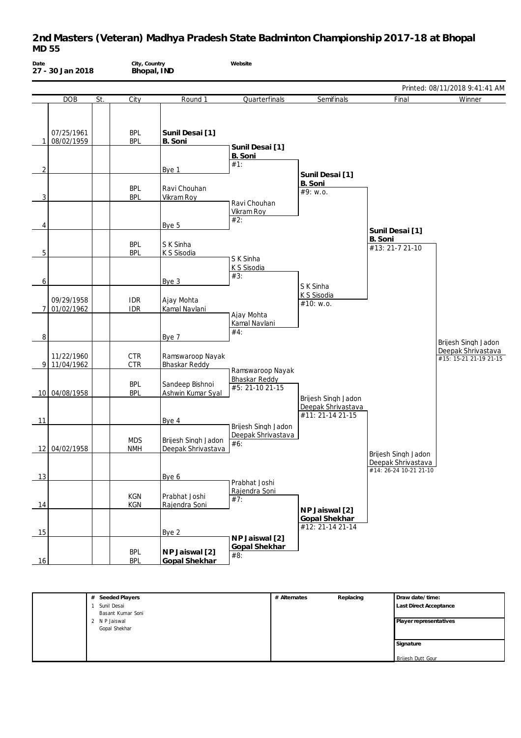| Date | 27 - 30 Jan 2018         |     | City, Country            | Bhopal, IND                               | Website                                          |                                        |                                              |                                              |
|------|--------------------------|-----|--------------------------|-------------------------------------------|--------------------------------------------------|----------------------------------------|----------------------------------------------|----------------------------------------------|
|      |                          |     |                          |                                           |                                                  |                                        |                                              | Printed: 08/11/2018 9:41:41 AM               |
|      | <b>DOB</b>               | St. | City                     | Round 1                                   | Quarterfinals                                    | Semifinals                             | Final                                        | Winner                                       |
| 1    | 07/25/1961<br>08/02/1959 |     | <b>BPL</b><br><b>BPL</b> | Sunil Desai [1]<br>B. Soni                | Sunil Desai [1]                                  |                                        |                                              |                                              |
|      |                          |     |                          |                                           | B. Soni<br>#1:                                   |                                        |                                              |                                              |
| 2    |                          |     | <b>BPL</b>               | Bye 1<br>Ravi Chouhan                     |                                                  | Sunil Desai [1]<br>B. Soni<br>#9: w.o. |                                              |                                              |
| 3    |                          |     | <b>BPL</b>               | Vikram Roy                                | Ravi Chouhan<br>Vikram Roy                       |                                        |                                              |                                              |
| 4    |                          |     | <b>BPL</b>               | Bye 5<br>S K Sinha                        | #2:                                              |                                        | Sunil Desai [1]<br>B. Soni                   |                                              |
| 5    |                          |     | <b>BPL</b>               | K S Sisodia                               | S K Sinha<br>K S Sisodia                         |                                        | #13: 21-7 21-10                              |                                              |
| 6    |                          |     |                          | Bye 3                                     | #3:                                              | S K Sinha<br>K S Sisodia               |                                              |                                              |
| 7    | 09/29/1958<br>01/02/1962 |     | <b>IDR</b><br><b>IDR</b> | Ajay Mohta<br>Kamal Navlani               | Ajay Mohta                                       | #10: w.o.                              |                                              |                                              |
| 8    |                          |     |                          | Bye 7                                     | Kamal Navlani<br>#4:                             |                                        |                                              | Brijesh Singh Jadon                          |
| 9    | 11/22/1960<br>11/04/1962 |     | <b>CTR</b><br><b>CTR</b> | Ramswaroop Nayak<br>Bhaskar Reddy         | Ramswaroop Nayak                                 |                                        |                                              | Deepak Shrivastava<br>#15: 15-21 21-19 21-15 |
|      | 10 04/08/1958            |     | <b>BPL</b><br><b>BPL</b> | Sandeep Bishnoi<br>Ashwin Kumar Syal      | Bhaskar Reddy<br>#5: 21-10 21-15                 | Brijesh Singh Jadon                    |                                              |                                              |
| 11   |                          |     |                          | Bye 4                                     |                                                  | Deepak Shrivastava<br>#11: 21-14 21-15 |                                              |                                              |
|      | 12 04/02/1958            |     | <b>MDS</b><br><b>NMH</b> | Brijesh Singh Jadon<br>Deepak Shrivastava | Brijesh Singh Jadon<br>Deepak Shrivastava<br>#6: |                                        | Brijesh Singh Jadon                          |                                              |
| 13   |                          |     |                          | Bye 6                                     |                                                  |                                        | Deepak Shrivastava<br>#14: 26-24 10-21 21-10 |                                              |
| 14   |                          |     | KGN<br>KGN               | Prabhat Joshi<br>Rajendra Soni            | Prabhat Joshi<br>Rajendra Soni<br>#7:            | NP Jaiswal [2]                         |                                              |                                              |
| 15   |                          |     |                          | Bye 2                                     |                                                  | Gopal Shekhar<br>#12: 21-14 21-14      |                                              |                                              |
| 16   |                          |     | <b>BPL</b><br><b>BPL</b> | NP Jaiswal [2]<br>Gopal Shekhar           | NP Jaiswal [2]<br>Gopal Shekhar<br>#8:           |                                        |                                              |                                              |

| # Seeded Players  | # Alternates | Replacing | Draw date/time:          |
|-------------------|--------------|-----------|--------------------------|
| Sunil Desai       |              |           | Last Direct Acceptance   |
| Basant Kumar Soni |              |           |                          |
| 2 N P Jaiswal     |              |           | Player representatives   |
| Gopal Shekhar     |              |           |                          |
|                   |              |           |                          |
|                   |              |           | Signature                |
|                   |              |           |                          |
|                   |              |           | <b>Brijesh Dutt Gour</b> |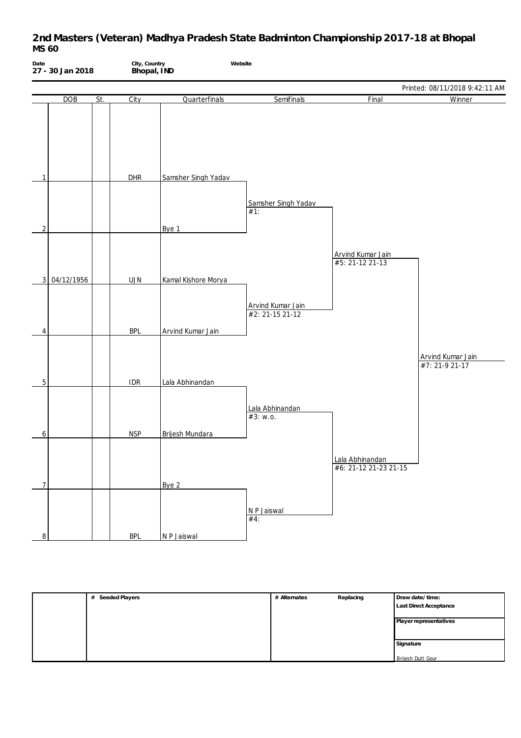| Date<br>27 - 30 Jan 2018 |            | City, Country<br>Bhopal, IND |            | Website              |                                      |                                          |                                     |
|--------------------------|------------|------------------------------|------------|----------------------|--------------------------------------|------------------------------------------|-------------------------------------|
|                          |            |                              |            |                      |                                      |                                          | Printed: 08/11/2018 9:42:11 AM      |
|                          | DOB        | St.                          | City       | Quarterfinals        | Semifinals                           | Final                                    | Winner                              |
| 1                        |            |                              | DHR        | Samsher Singh Yadav  |                                      |                                          |                                     |
| 2                        |            |                              |            | Bye 1                | Samsher Singh Yadav<br>#1:           |                                          |                                     |
| 3                        | 04/12/1956 |                              | UJN        | Kamal Kishore Morya  |                                      | Arvind Kumar Jain<br>#5: 21-12 21-13     |                                     |
| 4                        |            |                              | <b>BPL</b> | Arvind Kumar Jain    | Arvind Kumar Jain<br>#2: 21-15 21-12 |                                          |                                     |
|                          |            |                              |            |                      |                                      |                                          | Arvind Kumar Jain<br>#7: 21-9 21-17 |
| 5                        |            |                              | <b>IDR</b> | Lala Abhinandan      | Lala Abhinandan<br>#3: w.o.          |                                          |                                     |
| 6                        |            |                              | <b>NSP</b> | Brijesh Mundara      |                                      | Lala Abhinandan<br>#6: 21-12 21-23 21-15 |                                     |
| 7<br>8                   |            |                              | <b>BPL</b> | Bye 2<br>N P Jaiswal | N P Jaiswal<br>#4:                   |                                          |                                     |

| # Alternates | Replacing | Draw date/time:        |
|--------------|-----------|------------------------|
|              |           | Last Direct Acceptance |
|              |           |                        |
|              |           | Player representatives |
|              |           |                        |
|              |           | Signature              |
|              |           | Brijesh Dutt Gour      |
|              |           |                        |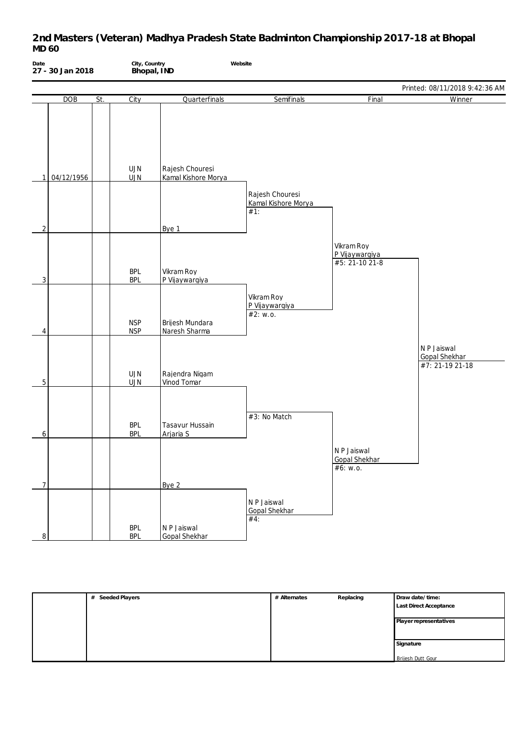| Date                | 27 - 30 Jan 2018 |     | City, Country<br>Bhopal, IND |                                        | Website                                       |                                                 |                                                        |
|---------------------|------------------|-----|------------------------------|----------------------------------------|-----------------------------------------------|-------------------------------------------------|--------------------------------------------------------|
|                     |                  |     |                              |                                        |                                               |                                                 | Printed: 08/11/2018 9:42:36 AM                         |
|                     | DOB              | St. | City                         | Quarterfinals                          | Semifinals                                    | Final                                           | Winner                                                 |
| 1                   | 04/12/1956       |     | UJN<br><b>UJN</b>            | Rajesh Chouresi<br>Kamal Kishore Morya |                                               |                                                 |                                                        |
|                     |                  |     |                              |                                        | Rajesh Chouresi<br>Kamal Kishore Morya<br>#1: |                                                 |                                                        |
| $\overline{c}$      |                  |     |                              | Bye 1                                  |                                               |                                                 |                                                        |
| 3                   |                  |     | <b>BPL</b><br><b>BPL</b>     | Vikram Roy<br>P Vijaywargiya           |                                               | Vikram Roy<br>P Vijaywargiya<br>#5: 21-10 21-8  |                                                        |
| 4                   |                  |     | <b>NSP</b><br><b>NSP</b>     | Brijesh Mundara<br>Naresh Sharma       | Vikram Roy<br>P Vijaywargiya<br>#2: w.o.      |                                                 |                                                        |
| 5                   |                  |     | <b>UJN</b><br><b>UJN</b>     | Rajendra Nigam<br>Vinod Tomar          |                                               |                                                 | N P Jaiswal<br><b>Gopal Shekhar</b><br>#7: 21-19 21-18 |
| 6                   |                  |     | <b>BPL</b><br><b>BPL</b>     | Tasavur Hussain<br>Arjaria S           | #3: No Match                                  |                                                 |                                                        |
|                     |                  |     |                              |                                        |                                               | N P Jaiswal<br><b>Gopal Shekhar</b><br>#6: W.0. |                                                        |
| $\overline{7}$<br>8 |                  |     | <b>BPL</b><br><b>BPL</b>     | Bye 2<br>N P Jaiswal<br>Gopal Shekhar  | N P Jaiswal<br><b>Gopal Shekhar</b><br>#4:    |                                                 |                                                        |

| Seeded Players<br># | # Alternates | Replacing | Draw date/time:          |
|---------------------|--------------|-----------|--------------------------|
|                     |              |           | Last Direct Acceptance   |
|                     |              |           |                          |
|                     |              |           | Player representatives   |
|                     |              |           |                          |
|                     |              |           |                          |
|                     |              |           | Signature                |
|                     |              |           |                          |
|                     |              |           | <b>Brijesh Dutt Gour</b> |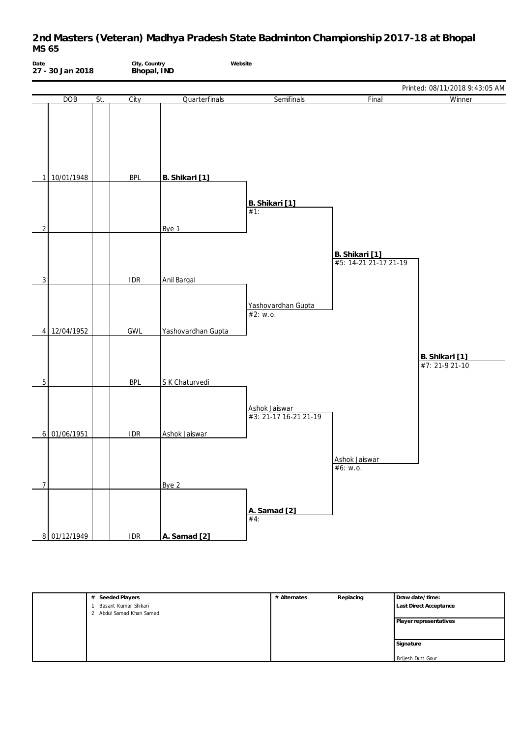| Date<br>27 - 30 Jan 2018 |              | City, Country<br>Bhopal, IND |            | Website            |                                        |                                         |                                  |
|--------------------------|--------------|------------------------------|------------|--------------------|----------------------------------------|-----------------------------------------|----------------------------------|
|                          |              |                              |            |                    |                                        |                                         | Printed: 08/11/2018 9:43:05 AM   |
|                          | DOB          | St.                          | City       | Quarterfinals      | Semifinals                             | Final                                   | Winner                           |
| 1                        | 10/01/1948   |                              | <b>BPL</b> | B. Shikari [1]     |                                        |                                         |                                  |
| $\overline{2}$           |              |                              |            | Bye 1              | B. Shikari [1]<br>$#1$ :               |                                         |                                  |
|                          |              |                              |            |                    |                                        | B. Shikari [1]<br>#5: 14-21 21-17 21-19 |                                  |
| $\overline{3}$           |              |                              | <b>IDR</b> | Anil Bargal        |                                        |                                         |                                  |
|                          | 4 12/04/1952 |                              | GWL        | Yashovardhan Gupta | Yashovardhan Gupta<br>#2: $w.o.$       |                                         |                                  |
| 5                        |              |                              | <b>BPL</b> | S K Chaturvedi     |                                        |                                         | B. Shikari [1]<br>#7: 21-9 21-10 |
|                          |              |                              |            |                    | Ashok Jaiswar<br>#3: 21-17 16-21 21-19 |                                         |                                  |
|                          | 6 01/06/1951 |                              | <b>IDR</b> | Ashok Jaiswar      |                                        | Ashok Jaiswar<br>#6: w.o.               |                                  |
| $\overline{7}$           |              |                              |            | Bye 2              |                                        |                                         |                                  |
|                          | 8 01/12/1949 |                              | IDR        | A. Samad [2]       | A. Samad [2]<br>#4:                    |                                         |                                  |

| Seeded Players<br>#    | # Alternates | Replacing | Draw date/time:          |
|------------------------|--------------|-----------|--------------------------|
| Basant Kumar Shikari   |              |           | Last Direct Acceptance   |
| Abdul Samad Khan Samad |              |           |                          |
|                        |              |           | Player representatives   |
|                        |              |           |                          |
|                        |              |           | Signature                |
|                        |              |           |                          |
|                        |              |           | <b>Brijesh Dutt Gour</b> |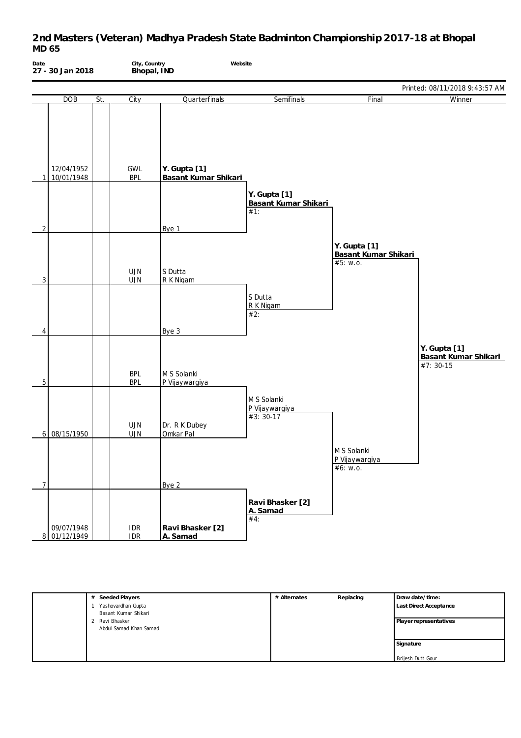

| # Seeded Players       | # Alternates | Replacing | Draw date/time:               |
|------------------------|--------------|-----------|-------------------------------|
| Yashovardhan Gupta     |              |           | <b>Last Direct Acceptance</b> |
| Basant Kumar Shikari   |              |           |                               |
| Ravi Bhasker           |              |           | Player representatives        |
| Abdul Samad Khan Samad |              |           |                               |
|                        |              |           |                               |
|                        |              |           | Signature                     |
|                        |              |           |                               |
|                        |              |           | Brijesh Dutt Gour             |